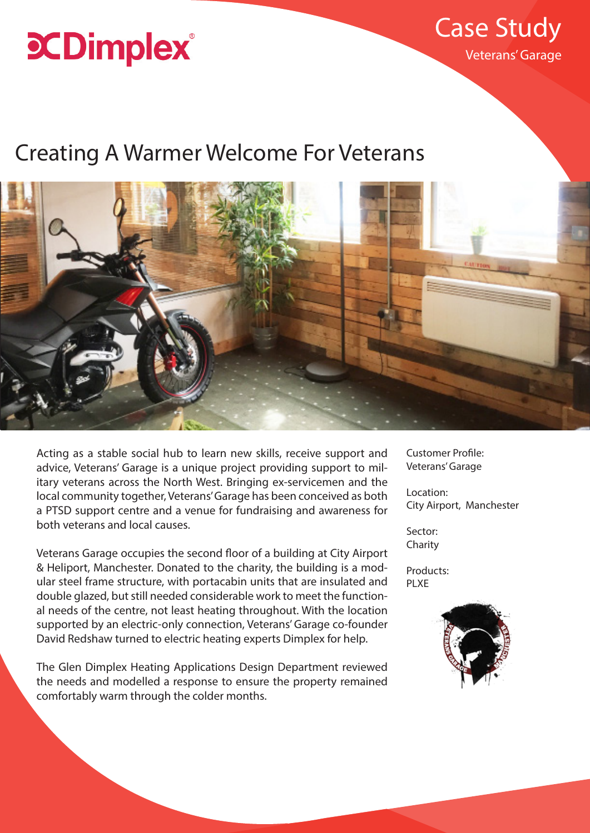# **CDimplex**

Veterans' Garage Case Study

# Creating A Warmer Welcome For Veterans



Acting as a stable social hub to learn new skills, receive support and advice, Veterans' Garage is a unique project providing support to military veterans across the North West. Bringing ex-servicemen and the local community together, Veterans' Garage has been conceived as both a PTSD support centre and a venue for fundraising and awareness for both veterans and local causes.

Veterans Garage occupies the second floor of a building at City Airport & Heliport, Manchester. Donated to the charity, the building is a modular steel frame structure, with portacabin units that are insulated and double glazed, but still needed considerable work to meet the functional needs of the centre, not least heating throughout. With the location supported by an electric-only connection, Veterans' Garage co-founder David Redshaw turned to electric heating experts Dimplex for help.

The Glen Dimplex Heating Applications Design Department reviewed the needs and modelled a response to ensure the property remained comfortably warm through the colder months.

Customer Profile: Veterans' Garage

Location: City Airport, Manchester

Sector: Charity

Products: PLXE